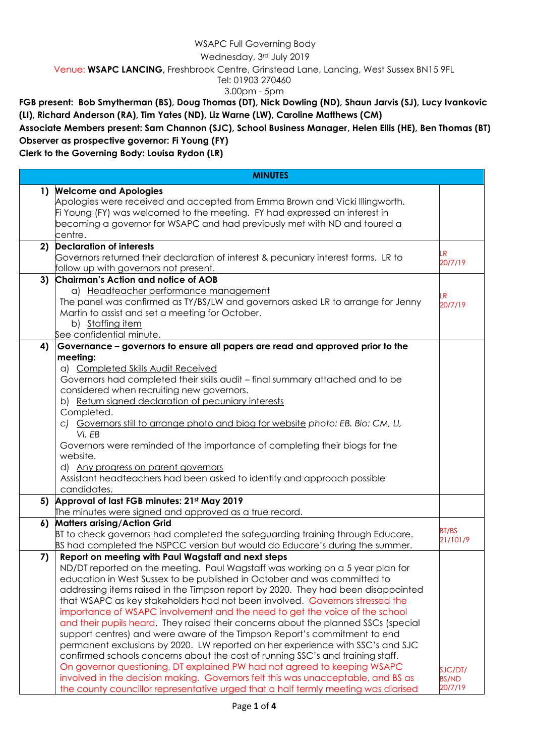## WSAPC Full Governing Body

Wednesday, 3rd July 2019

Venue: **WSAPC LANCING,** Freshbrook Centre, Grinstead Lane, Lancing, West Sussex BN15 9FL

Tel: 01903 270460

3.00pm - 5pm

**FGB present: Bob Smytherman (BS), Doug Thomas (DT), Nick Dowling (ND), Shaun Jarvis (SJ), Lucy Ivankovic (LI), Richard Anderson (RA), Tim Yates (ND), Liz Warne (LW), Caroline Matthews (CM)**

**Associate Members present: Sam Channon (SJC), School Business Manager, Helen Ellis (HE), Ben Thomas (BT) Observer as prospective governor: Fi Young (FY)**

**Clerk to the Governing Body: Louisa Rydon (LR)**

| <b>MINUTES</b> |                                                                                                                                                                                                                                                                                                                                                                                                                                                                                                                                                                                                                                                                                                                                                                                                                                                                                                                                                                                                                                                                   |                                    |
|----------------|-------------------------------------------------------------------------------------------------------------------------------------------------------------------------------------------------------------------------------------------------------------------------------------------------------------------------------------------------------------------------------------------------------------------------------------------------------------------------------------------------------------------------------------------------------------------------------------------------------------------------------------------------------------------------------------------------------------------------------------------------------------------------------------------------------------------------------------------------------------------------------------------------------------------------------------------------------------------------------------------------------------------------------------------------------------------|------------------------------------|
|                | 1) Welcome and Apologies<br>Apologies were received and accepted from Emma Brown and Vicki Illingworth.<br>Fi Young (FY) was welcomed to the meeting. FY had expressed an interest in                                                                                                                                                                                                                                                                                                                                                                                                                                                                                                                                                                                                                                                                                                                                                                                                                                                                             |                                    |
|                | becoming a governor for WSAPC and had previously met with ND and toured a<br>centre.                                                                                                                                                                                                                                                                                                                                                                                                                                                                                                                                                                                                                                                                                                                                                                                                                                                                                                                                                                              |                                    |
| 2)             | <b>Declaration of interests</b><br>Governors returned their declaration of interest & pecuniary interest forms. LR to<br>follow up with governors not present.                                                                                                                                                                                                                                                                                                                                                                                                                                                                                                                                                                                                                                                                                                                                                                                                                                                                                                    | .R<br>20/7/19                      |
|                | 3) Chairman's Action and notice of AOB<br>a) Headteacher performance management<br>The panel was confirmed as TY/BS/LW and governors asked LR to arrange for Jenny<br>Martin to assist and set a meeting for October.<br>b) Staffing item<br>See confidential minute.                                                                                                                                                                                                                                                                                                                                                                                                                                                                                                                                                                                                                                                                                                                                                                                             | .R<br>20/7/19                      |
| 4)             | Governance - governors to ensure all papers are read and approved prior to the<br>meeting:<br>a) Completed Skills Audit Received<br>Governors had completed their skills audit - final summary attached and to be<br>considered when recruiting new governors.<br>b) Return signed declaration of pecuniary interests<br>Completed.<br>c) Governors still to arrange photo and biog for website photo: EB. Bio: CM, LI,<br>VI, EB<br>Governors were reminded of the importance of completing their biogs for the<br>website.<br>d) Any progress on parent governors<br>Assistant headteachers had been asked to identify and approach possible<br>candidates.                                                                                                                                                                                                                                                                                                                                                                                                     |                                    |
|                | 5) Approval of last FGB minutes: 21st May 2019<br>The minutes were signed and approved as a true record.                                                                                                                                                                                                                                                                                                                                                                                                                                                                                                                                                                                                                                                                                                                                                                                                                                                                                                                                                          |                                    |
|                | 6) Matters arising/Action Grid<br>BT to check governors had completed the safeguarding training through Educare.<br>BS had completed the NSPCC version but would do Educare's during the summer.                                                                                                                                                                                                                                                                                                                                                                                                                                                                                                                                                                                                                                                                                                                                                                                                                                                                  | BT/BS<br>21/101/9                  |
| 7)             | Report on meeting with Paul Wagstaff and next steps<br>ND/DT reported on the meeting. Paul Wagstaff was working on a 5 year plan for<br>education in West Sussex to be published in October and was committed to<br>addressing items raised in the Timpson report by 2020. They had been disappointed<br>that WSAPC as key stakeholders had not been involved. Governors stressed the<br>importance of WSAPC involvement and the need to get the voice of the school<br>and their pupils heard. They raised their concerns about the planned SSCs (special<br>support centres) and were aware of the Timpson Report's commitment to end<br>permanent exclusions by 2020. LW reported on her experience with SSC's and SJC<br>confirmed schools concerns about the cost of running SSC's and training staff.<br>On governor questioning, DT explained PW had not agreed to keeping WSAPC<br>involved in the decision making. Governors felt this was unacceptable, and BS as<br>the county councillor representative urged that a half termly meeting was diarised | SJC/DT/<br><b>BS/ND</b><br>20/7/19 |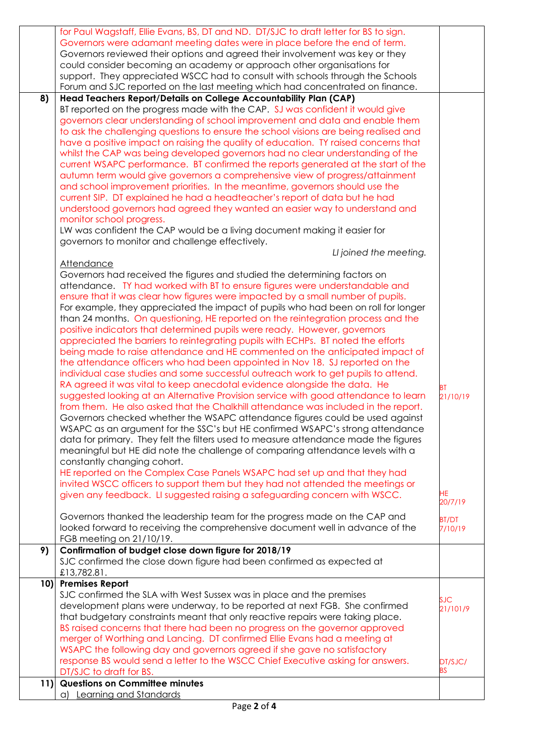|     | could consider becoming an academy or approach other organisations for                                                                                                 |              |
|-----|------------------------------------------------------------------------------------------------------------------------------------------------------------------------|--------------|
|     | support. They appreciated WSCC had to consult with schools through the Schools                                                                                         |              |
|     | Forum and SJC reported on the last meeting which had concentrated on finance.                                                                                          |              |
| 8)  | Head Teachers Report/Details on College Accountability Plan (CAP)                                                                                                      |              |
|     | BT reported on the progress made with the CAP. SJ was confident it would give                                                                                          |              |
|     | governors clear understanding of school improvement and data and enable them                                                                                           |              |
|     | to ask the challenging questions to ensure the school visions are being realised and                                                                                   |              |
|     | have a positive impact on raising the quality of education. TY raised concerns that                                                                                    |              |
|     | whilst the CAP was being developed governors had no clear understanding of the                                                                                         |              |
|     | current WSAPC performance. BT confirmed the reports generated at the start of the<br>autumn term would give governors a comprehensive view of progress/attainment      |              |
|     | and school improvement priorities. In the meantime, governors should use the                                                                                           |              |
|     | current SIP. DT explained he had a headteacher's report of data but he had                                                                                             |              |
|     | understood governors had agreed they wanted an easier way to understand and                                                                                            |              |
|     | monitor school progress.                                                                                                                                               |              |
|     | LW was confident the CAP would be a living document making it easier for                                                                                               |              |
|     | governors to monitor and challenge effectively.                                                                                                                        |              |
|     | LI joined the meeting.                                                                                                                                                 |              |
|     | <b>Attendance</b>                                                                                                                                                      |              |
|     | Governors had received the figures and studied the determining factors on                                                                                              |              |
|     | attendance. TY had worked with BT to ensure figures were understandable and                                                                                            |              |
|     | ensure that it was clear how figures were impacted by a small number of pupils.                                                                                        |              |
|     | For example, they appreciated the impact of pupils who had been on roll for longer<br>than 24 months. On questioning, HE reported on the reintegration process and the |              |
|     | positive indicators that determined pupils were ready. However, governors                                                                                              |              |
|     | appreciated the barriers to reintegrating pupils with ECHPs. BT noted the efforts                                                                                      |              |
|     | being made to raise attendance and HE commented on the anticipated impact of                                                                                           |              |
|     | the attendance officers who had been appointed in Nov 18. SJ reported on the                                                                                           |              |
|     | individual case studies and some successful outreach work to get pupils to attend.                                                                                     |              |
|     | RA agreed it was vital to keep anecdotal evidence alongside the data. He                                                                                               | ВT           |
|     | suggested looking at an Alternative Provision service with good attendance to learn                                                                                    | 21/10/19     |
|     | from them. He also asked that the Chalkhill attendance was included in the report.                                                                                     |              |
|     | Governors checked whether the WSAPC attendance figures could be used against                                                                                           |              |
|     | WSAPC as an argument for the SSC's but HE confirmed WSAPC's strong attendance                                                                                          |              |
|     | data for primary. They felt the filters used to measure attendance made the figures                                                                                    |              |
|     | meaningful but HE did note the challenge of comparing attendance levels with a<br>constantly changing cohort.                                                          |              |
|     | HE reported on the Complex Case Panels WSAPC had set up and that they had                                                                                              |              |
|     | invited WSCC officers to support them but they had not attended the meetings or                                                                                        |              |
|     | given any feedback. LI suggested raising a safeguarding concern with WSCC.                                                                                             | HE.          |
|     |                                                                                                                                                                        | 20/7/19      |
|     | Governors thanked the leadership team for the progress made on the CAP and                                                                                             | <b>BT/DT</b> |
|     | looked forward to receiving the comprehensive document well in advance of the                                                                                          | 7/10/19      |
|     | FGB meeting on 21/10/19.                                                                                                                                               |              |
| 9)  | Confirmation of budget close down figure for 2018/19                                                                                                                   |              |
|     | SJC confirmed the close down figure had been confirmed as expected at                                                                                                  |              |
|     | £13,782.81.                                                                                                                                                            |              |
|     | 10) Premises Report                                                                                                                                                    |              |
|     | SJC confirmed the SLA with West Sussex was in place and the premises<br>development plans were underway, to be reported at next FGB. She confirmed                     | <b>SJC</b>   |
|     | that budgetary constraints meant that only reactive repairs were taking place.                                                                                         | 21/101/9     |
|     | BS raised concerns that there had been no progress on the governor approved                                                                                            |              |
|     | merger of Worthing and Lancing. DT confirmed Ellie Evans had a meeting at                                                                                              |              |
|     |                                                                                                                                                                        |              |
|     |                                                                                                                                                                        |              |
|     | WSAPC the following day and governors agreed if she gave no satisfactory<br>response BS would send a letter to the WSCC Chief Executive asking for answers.            | DT/SJC/      |
|     | DT/SJC to draft for BS.                                                                                                                                                | <b>BS</b>    |
| 11) | <b>Questions on Committee minutes</b>                                                                                                                                  |              |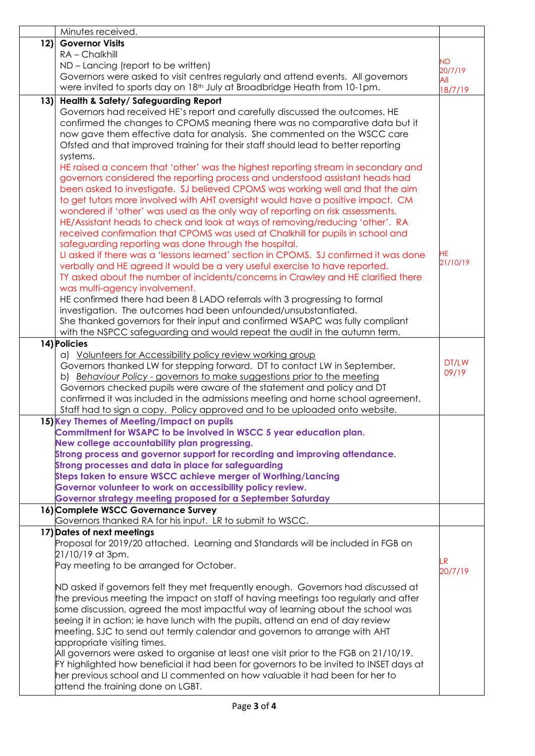|     | Minutes received.                                                                                                                  |                       |
|-----|------------------------------------------------------------------------------------------------------------------------------------|-----------------------|
| 12) | <b>Governor Visits</b>                                                                                                             |                       |
|     | $RA$ – Chalkhill                                                                                                                   | <b>ND</b>             |
|     | ND – Lancing (report to be written)                                                                                                |                       |
|     | Governors were asked to visit centres regularly and attend events. All governors                                                   | 20/7/19<br><b>All</b> |
|     | were invited to sports day on 18 <sup>th</sup> July at Broadbridge Heath from 10-1pm.                                              | 18/7/19               |
| 13) | Health & Safety/Safeguarding Report                                                                                                |                       |
|     | Governors had received HE's report and carefully discussed the outcomes. HE                                                        |                       |
|     | confirmed the changes to CPOMS meaning there was no comparative data but it                                                        |                       |
|     | now gave them effective data for analysis. She commented on the WSCC care                                                          |                       |
|     | Ofsted and that improved training for their staff should lead to better reporting                                                  |                       |
|     | systems.                                                                                                                           |                       |
|     | HE raised a concern that 'other' was the highest reporting stream in secondary and                                                 |                       |
|     | governors considered the reporting process and understood assistant heads had                                                      |                       |
|     | been asked to investigate. SJ believed CPOMS was working well and that the aim                                                     |                       |
|     | to get tutors more involved with AHT oversight would have a positive impact. CM                                                    |                       |
|     | wondered if 'other' was used as the only way of reporting on risk assessments.                                                     |                       |
|     | HE/Assistant heads to check and look at ways of removing/reducing 'other'. RA                                                      |                       |
|     | received confirmation that CPOMS was used at Chalkhill for pupils in school and                                                    |                       |
|     | safeguarding reporting was done through the hospital.                                                                              |                       |
|     | LI asked if there was a 'lessons learned' section in CPOMS. SJ confirmed it was done                                               | НE                    |
|     | verbally and HE agreed it would be a very useful exercise to have reported.                                                        | 21/10/19              |
|     | TY asked about the number of incidents/concerns in Crawley and HE clarified there                                                  |                       |
|     | was multi-agency involvement.                                                                                                      |                       |
|     | HE confirmed there had been 8 LADO referrals with 3 progressing to formal                                                          |                       |
|     | investigation. The outcomes had been unfounded/unsubstantiated.                                                                    |                       |
|     | She thanked governors for their input and confirmed WSAPC was fully compliant                                                      |                       |
|     | with the NSPCC safeguarding and would repeat the audit in the autumn term.                                                         |                       |
|     | 14) Policies                                                                                                                       |                       |
|     | a) Volunteers for Accessibility policy review working group                                                                        |                       |
|     | Governors thanked LW for stepping forward. DT to contact LW in September.                                                          | DT/LW<br>09/19        |
|     | b) Behaviour Policy - governors to make suggestions prior to the meeting                                                           |                       |
|     | Governors checked pupils were aware of the statement and policy and DT                                                             |                       |
|     | confirmed it was included in the admissions meeting and home school agreement.                                                     |                       |
|     | Staff had to sign a copy. Policy approved and to be uploaded onto website.                                                         |                       |
|     | 15) Key Themes of Meeting/Impact on pupils                                                                                         |                       |
|     | Commitment for WSAPC to be involved in WSCC 5 year education plan.                                                                 |                       |
|     | New college accountability plan progressing.                                                                                       |                       |
|     | Strong process and governor support for recording and improving attendance.<br>Strong processes and data in place for safeguarding |                       |
|     | Steps taken to ensure WSCC achieve merger of Worthing/Lancing                                                                      |                       |
|     | Governor volunteer to work on accessibility policy review.                                                                         |                       |
|     | Governor strategy meeting proposed for a September Saturday                                                                        |                       |
|     | 16) Complete WSCC Governance Survey                                                                                                |                       |
|     | Governors thanked RA for his input. LR to submit to WSCC.                                                                          |                       |
|     | 17) Dates of next meetings                                                                                                         |                       |
|     | Proposal for 2019/20 attached. Learning and Standards will be included in FGB on                                                   |                       |
|     | 21/10/19 at 3pm.                                                                                                                   |                       |
|     | Pay meeting to be arranged for October.                                                                                            | LR.<br>20/7/19        |
|     |                                                                                                                                    |                       |
|     | ND asked if governors felt they met frequently enough. Governors had discussed at                                                  |                       |
|     | the previous meeting the impact on staff of having meetings too regularly and after                                                |                       |
|     | some discussion, agreed the most impactful way of learning about the school was                                                    |                       |
|     | seeing it in action; ie have lunch with the pupils, attend an end of day review                                                    |                       |
|     | meeting. SJC to send out termly calendar and governors to arrange with AHT                                                         |                       |
|     | appropriate visiting times.                                                                                                        |                       |
|     | All governors were asked to organise at least one visit prior to the FGB on 21/10/19.                                              |                       |
|     | FY highlighted how beneficial it had been for governors to be invited to INSET days at                                             |                       |
|     | her previous school and LI commented on how valuable it had been for her to                                                        |                       |
|     | attend the training done on LGBT.                                                                                                  |                       |